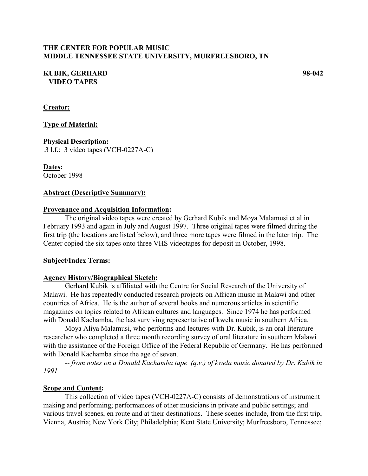### **THE CENTER FOR POPULAR MUSIC MIDDLE TENNESSEE STATE UNIVERSITY, MURFREESBORO, TN**

#### **KUBIK, GERHARD 98-042 VIDEO TAPES**

**Creator:**

### **Type of Material:**

# **Physical Description:**

.3 l.f.: 3 video tapes (VCH-0227A-C)

**Dates:** October 1998

#### **Abstract (Descriptive Summary):**

#### **Provenance and Acquisition Information:**

The original video tapes were created by Gerhard Kubik and Moya Malamusi et al in February 1993 and again in July and August 1997. Three original tapes were filmed during the first trip (the locations are listed below), and three more tapes were filmed in the later trip. The Center copied the six tapes onto three VHS videotapes for deposit in October, 1998.

#### **Subject/Index Terms:**

#### **Agency History/Biographical Sketch:**

Gerhard Kubik is affiliated with the Centre for Social Research of the University of Malawi. He has repeatedly conducted research projects on African music in Malawi and other countries of Africa. He is the author of several books and numerous articles in scientific magazines on topics related to African cultures and languages. Since 1974 he has performed with Donald Kachamba, the last surviving representative of kwela music in southern Africa.

Moya Aliya Malamusi, who performs and lectures with Dr. Kubik, is an oral literature researcher who completed a three month recording survey of oral literature in southern Malawi with the assistance of the Foreign Office of the Federal Republic of Germany. He has performed with Donald Kachamba since the age of seven.

-- *from notes on a Donald Kachamba tape (q.v.) of kwela music donated by Dr. Kubik in 1991*

#### **Scope and Content:**

This collection of video tapes (VCH-0227A-C) consists of demonstrations of instrument making and performing; performances of other musicians in private and public settings; and various travel scenes, en route and at their destinations. These scenes include, from the first trip, Vienna, Austria; New York City; Philadelphia; Kent State University; Murfreesboro, Tennessee;